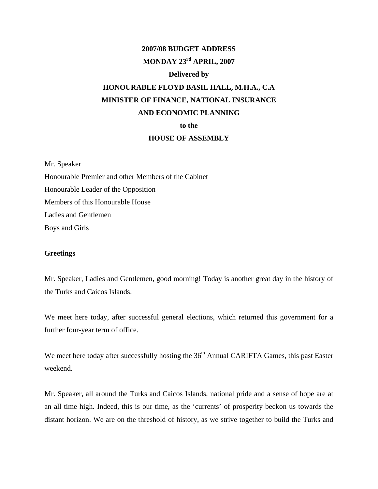## **2007/08 BUDGET ADDRESS MONDAY 23rd APRIL, 2007**

# **Delivered by HONOURABLE FLOYD BASIL HALL, M.H.A., C.A MINISTER OF FINANCE, NATIONAL INSURANCE**

## **AND ECONOMIC PLANNING**

**to the** 

## **HOUSE OF ASSEMBLY**

Mr. Speaker

Honourable Premier and other Members of the Cabinet Honourable Leader of the Opposition Members of this Honourable House Ladies and Gentlemen Boys and Girls

## **Greetings**

Mr. Speaker, Ladies and Gentlemen, good morning! Today is another great day in the history of the Turks and Caicos Islands.

We meet here today, after successful general elections, which returned this government for a further four-year term of office.

We meet here today after successfully hosting the 36<sup>th</sup> Annual CARIFTA Games, this past Easter weekend.

Mr. Speaker, all around the Turks and Caicos Islands, national pride and a sense of hope are at an all time high. Indeed, this is our time, as the 'currents' of prosperity beckon us towards the distant horizon. We are on the threshold of history, as we strive together to build the Turks and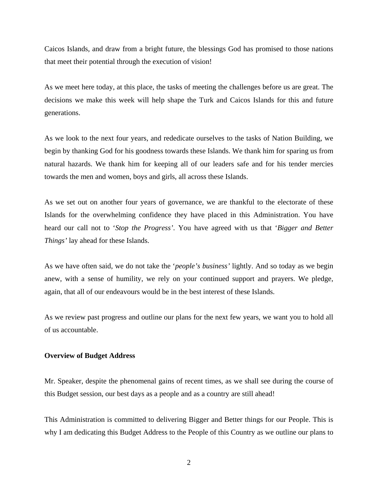Caicos Islands, and draw from a bright future, the blessings God has promised to those nations that meet their potential through the execution of vision!

As we meet here today, at this place, the tasks of meeting the challenges before us are great. The decisions we make this week will help shape the Turk and Caicos Islands for this and future generations.

As we look to the next four years, and rededicate ourselves to the tasks of Nation Building, we begin by thanking God for his goodness towards these Islands. We thank him for sparing us from natural hazards. We thank him for keeping all of our leaders safe and for his tender mercies towards the men and women, boys and girls, all across these Islands.

As we set out on another four years of governance, we are thankful to the electorate of these Islands for the overwhelming confidence they have placed in this Administration. You have heard our call not to '*Stop the Progress'*. You have agreed with us that '*Bigger and Better Things'* lay ahead for these Islands.

As we have often said, we do not take the '*people's business'* lightly. And so today as we begin anew, with a sense of humility, we rely on your continued support and prayers. We pledge, again, that all of our endeavours would be in the best interest of these Islands.

As we review past progress and outline our plans for the next few years, we want you to hold all of us accountable.

#### **Overview of Budget Address**

Mr. Speaker, despite the phenomenal gains of recent times, as we shall see during the course of this Budget session, our best days as a people and as a country are still ahead!

This Administration is committed to delivering Bigger and Better things for our People. This is why I am dedicating this Budget Address to the People of this Country as we outline our plans to

2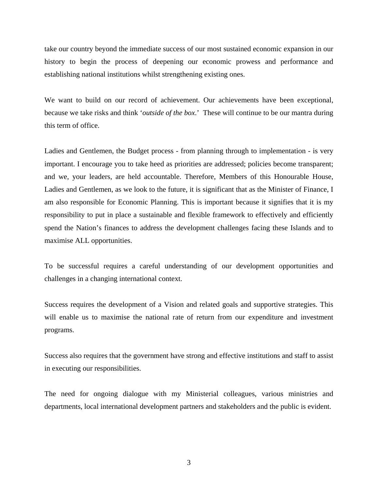take our country beyond the immediate success of our most sustained economic expansion in our history to begin the process of deepening our economic prowess and performance and establishing national institutions whilst strengthening existing ones.

We want to build on our record of achievement. Our achievements have been exceptional, because we take risks and think '*outside of the box*.' These will continue to be our mantra during this term of office.

Ladies and Gentlemen, the Budget process - from planning through to implementation - is very important. I encourage you to take heed as priorities are addressed; policies become transparent; and we, your leaders, are held accountable. Therefore, Members of this Honourable House, Ladies and Gentlemen, as we look to the future, it is significant that as the Minister of Finance, I am also responsible for Economic Planning. This is important because it signifies that it is my responsibility to put in place a sustainable and flexible framework to effectively and efficiently spend the Nation's finances to address the development challenges facing these Islands and to maximise ALL opportunities.

To be successful requires a careful understanding of our development opportunities and challenges in a changing international context.

Success requires the development of a Vision and related goals and supportive strategies. This will enable us to maximise the national rate of return from our expenditure and investment programs.

Success also requires that the government have strong and effective institutions and staff to assist in executing our responsibilities.

The need for ongoing dialogue with my Ministerial colleagues, various ministries and departments, local international development partners and stakeholders and the public is evident.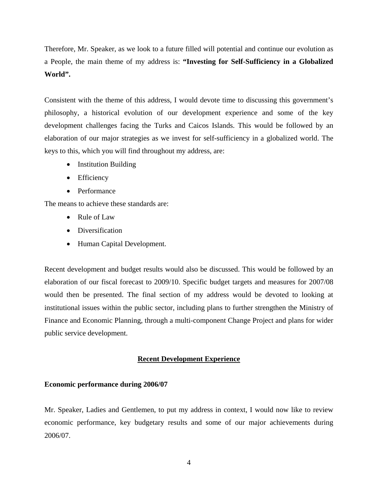Therefore, Mr. Speaker, as we look to a future filled will potential and continue our evolution as a People, the main theme of my address is: **"Investing for Self-Sufficiency in a Globalized World".**

Consistent with the theme of this address, I would devote time to discussing this government's philosophy, a historical evolution of our development experience and some of the key development challenges facing the Turks and Caicos Islands. This would be followed by an elaboration of our major strategies as we invest for self-sufficiency in a globalized world. The keys to this, which you will find throughout my address, are:

- Institution Building
- Efficiency
- Performance

The means to achieve these standards are:

- Rule of Law
- Diversification
- Human Capital Development.

Recent development and budget results would also be discussed. This would be followed by an elaboration of our fiscal forecast to 2009/10. Specific budget targets and measures for 2007/08 would then be presented. The final section of my address would be devoted to looking at institutional issues within the public sector, including plans to further strengthen the Ministry of Finance and Economic Planning, through a multi-component Change Project and plans for wider public service development.

#### **Recent Development Experience**

#### **Economic performance during 2006/07**

Mr. Speaker, Ladies and Gentlemen, to put my address in context, I would now like to review economic performance, key budgetary results and some of our major achievements during 2006/07.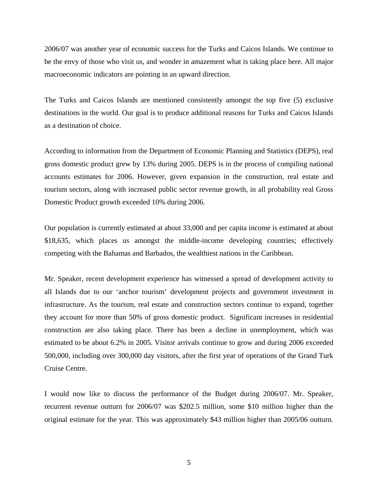2006/07 was another year of economic success for the Turks and Caicos Islands. We continue to be the envy of those who visit us, and wonder in amazement what is taking place here. All major macroeconomic indicators are pointing in an upward direction.

The Turks and Caicos Islands are mentioned consistently amongst the top five (5) exclusive destinations in the world. Our goal is to produce additional reasons for Turks and Caicos Islands as a destination of choice.

According to information from the Department of Economic Planning and Statistics (DEPS), real gross domestic product grew by 13% during 2005. DEPS is in the process of compiling national accounts estimates for 2006. However, given expansion in the construction, real estate and tourism sectors, along with increased public sector revenue growth, in all probability real Gross Domestic Product growth exceeded 10% during 2006.

Our population is currently estimated at about 33,000 and per capita income is estimated at about \$18,635, which places us amongst the middle-income developing countries; effectively competing with the Bahamas and Barbados, the wealthiest nations in the Caribbean.

Mr. Speaker, recent development experience has witnessed a spread of development activity to all Islands due to our 'anchor tourism' development projects and government investment in infrastructure. As the tourism, real estate and construction sectors continue to expand, together they account for more than 50% of gross domestic product. Significant increases in residential construction are also taking place. There has been a decline in unemployment, which was estimated to be about 6.2% in 2005. Visitor arrivals continue to grow and during 2006 exceeded 500,000, including over 300,000 day visitors, after the first year of operations of the Grand Turk Cruise Centre.

I would now like to discuss the performance of the Budget during 2006/07. Mr. Speaker, recurrent revenue outturn for 2006/07 was \$202.5 million, some \$10 million higher than the original estimate for the year. This was approximately \$43 million higher than 2005/06 outturn.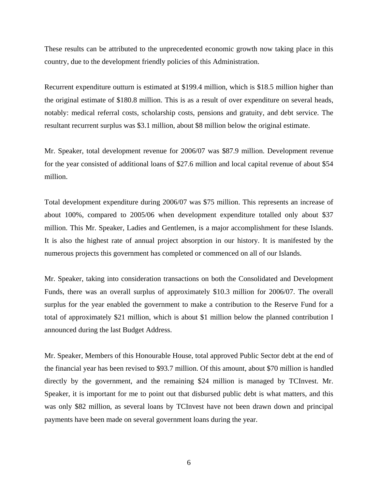These results can be attributed to the unprecedented economic growth now taking place in this country, due to the development friendly policies of this Administration.

Recurrent expenditure outturn is estimated at \$199.4 million, which is \$18.5 million higher than the original estimate of \$180.8 million. This is as a result of over expenditure on several heads, notably: medical referral costs, scholarship costs, pensions and gratuity, and debt service. The resultant recurrent surplus was \$3.1 million, about \$8 million below the original estimate.

Mr. Speaker, total development revenue for 2006/07 was \$87.9 million. Development revenue for the year consisted of additional loans of \$27.6 million and local capital revenue of about \$54 million.

Total development expenditure during 2006/07 was \$75 million. This represents an increase of about 100%, compared to 2005/06 when development expenditure totalled only about \$37 million. This Mr. Speaker, Ladies and Gentlemen, is a major accomplishment for these Islands. It is also the highest rate of annual project absorption in our history. It is manifested by the numerous projects this government has completed or commenced on all of our Islands.

Mr. Speaker, taking into consideration transactions on both the Consolidated and Development Funds, there was an overall surplus of approximately \$10.3 million for 2006/07. The overall surplus for the year enabled the government to make a contribution to the Reserve Fund for a total of approximately \$21 million, which is about \$1 million below the planned contribution I announced during the last Budget Address.

Mr. Speaker, Members of this Honourable House, total approved Public Sector debt at the end of the financial year has been revised to \$93.7 million. Of this amount, about \$70 million is handled directly by the government, and the remaining \$24 million is managed by TCInvest. Mr. Speaker, it is important for me to point out that disbursed public debt is what matters, and this was only \$82 million, as several loans by TCInvest have not been drawn down and principal payments have been made on several government loans during the year.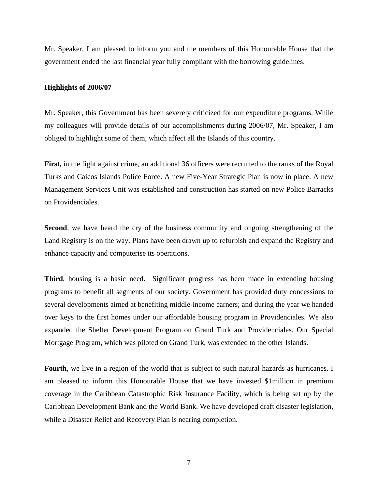Mr. Speaker, I am pleased to inform you and the members of this Honourable House that the government ended the last financial year fully compliant with the borrowing guidelines.

#### **Highlights of 2006/07**

Mr. Speaker, this Government has been severely criticized for our expenditure programs. While my colleagues will provide details of our accomplishments during 2006/07, Mr. Speaker, I am obliged to highlight some of them, which affect all the Islands of this country.

**First,** in the fight against crime, an additional 36 officers were recruited to the ranks of the Royal Turks and Caicos Islands Police Force. A new Five-Year Strategic Plan is now in place. A new Management Services Unit was established and construction has started on new Police Barracks on Providenciales.

**Second**, we have heard the cry of the business community and ongoing strengthening of the Land Registry is on the way. Plans have been drawn up to refurbish and expand the Registry and enhance capacity and computerise its operations.

**Third**, housing is a basic need. Significant progress has been made in extending housing programs to benefit all segments of our society. Government has provided duty concessions to several developments aimed at benefiting middle-income earners; and during the year we handed over keys to the first homes under our affordable housing program in Providenciales. We also expanded the Shelter Development Program on Grand Turk and Providenciales. Our Special Mortgage Program, which was piloted on Grand Turk, was extended to the other Islands.

**Fourth**, we live in a region of the world that is subject to such natural hazards as hurricanes. I am pleased to inform this Honourable House that we have invested \$1million in premium coverage in the Caribbean Catastrophic Risk Insurance Facility, which is being set up by the Caribbean Development Bank and the World Bank. We have developed draft disaster legislation, while a Disaster Relief and Recovery Plan is nearing completion.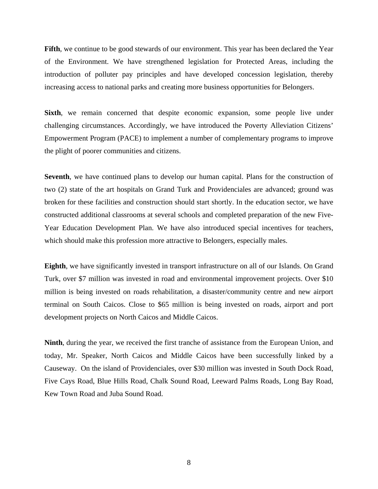**Fifth**, we continue to be good stewards of our environment. This year has been declared the Year of the Environment. We have strengthened legislation for Protected Areas, including the introduction of polluter pay principles and have developed concession legislation, thereby increasing access to national parks and creating more business opportunities for Belongers.

**Sixth**, we remain concerned that despite economic expansion, some people live under challenging circumstances. Accordingly, we have introduced the Poverty Alleviation Citizens' Empowerment Program (PACE) to implement a number of complementary programs to improve the plight of poorer communities and citizens.

**Seventh**, we have continued plans to develop our human capital. Plans for the construction of two (2) state of the art hospitals on Grand Turk and Providenciales are advanced; ground was broken for these facilities and construction should start shortly. In the education sector, we have constructed additional classrooms at several schools and completed preparation of the new Five-Year Education Development Plan. We have also introduced special incentives for teachers, which should make this profession more attractive to Belongers, especially males.

**Eighth**, we have significantly invested in transport infrastructure on all of our Islands. On Grand Turk, over \$7 million was invested in road and environmental improvement projects. Over \$10 million is being invested on roads rehabilitation, a disaster/community centre and new airport terminal on South Caicos. Close to \$65 million is being invested on roads, airport and port development projects on North Caicos and Middle Caicos.

**Ninth**, during the year, we received the first tranche of assistance from the European Union, and today, Mr. Speaker, North Caicos and Middle Caicos have been successfully linked by a Causeway. On the island of Providenciales, over \$30 million was invested in South Dock Road, Five Cays Road, Blue Hills Road, Chalk Sound Road, Leeward Palms Roads, Long Bay Road, Kew Town Road and Juba Sound Road.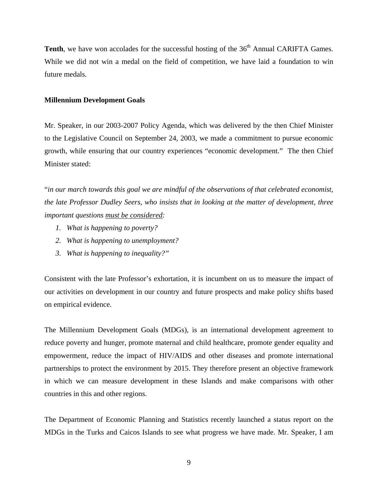**Tenth**, we have won accolades for the successful hosting of the 36<sup>th</sup> Annual CARIFTA Games. While we did not win a medal on the field of competition, we have laid a foundation to win future medals.

#### **Millennium Development Goals**

Mr. Speaker, in our 2003-2007 Policy Agenda, which was delivered by the then Chief Minister to the Legislative Council on September 24, 2003, we made a commitment to pursue economic growth, while ensuring that our country experiences "economic development." The then Chief Minister stated:

"*in our march towards this goal we are mindful of the observations of that celebrated economist, the late Professor Dudley Seers, who insists that in looking at the matter of development, three important questions must be considered:* 

- *1. What is happening to poverty?*
- *2. What is happening to unemployment?*
- *3. What is happening to inequality?"*

Consistent with the late Professor's exhortation, it is incumbent on us to measure the impact of our activities on development in our country and future prospects and make policy shifts based on empirical evidence.

The Millennium Development Goals (MDGs), is an international development agreement to reduce poverty and hunger, promote maternal and child healthcare, promote gender equality and empowerment, reduce the impact of HIV/AIDS and other diseases and promote international partnerships to protect the environment by 2015. They therefore present an objective framework in which we can measure development in these Islands and make comparisons with other countries in this and other regions.

The Department of Economic Planning and Statistics recently launched a status report on the MDGs in the Turks and Caicos Islands to see what progress we have made. Mr. Speaker, I am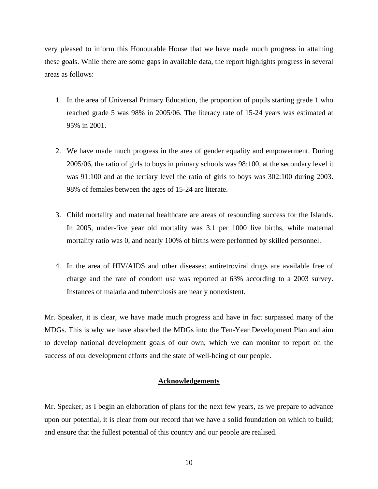very pleased to inform this Honourable House that we have made much progress in attaining these goals. While there are some gaps in available data, the report highlights progress in several areas as follows:

- 1. In the area of Universal Primary Education, the proportion of pupils starting grade 1 who reached grade 5 was 98% in 2005/06. The literacy rate of 15-24 years was estimated at 95% in 2001.
- 2. We have made much progress in the area of gender equality and empowerment. During 2005/06, the ratio of girls to boys in primary schools was 98:100, at the secondary level it was 91:100 and at the tertiary level the ratio of girls to boys was 302:100 during 2003. 98% of females between the ages of 15-24 are literate.
- 3. Child mortality and maternal healthcare are areas of resounding success for the Islands. In 2005, under-five year old mortality was 3.1 per 1000 live births, while maternal mortality ratio was 0, and nearly 100% of births were performed by skilled personnel.
- 4. In the area of HIV/AIDS and other diseases: antiretroviral drugs are available free of charge and the rate of condom use was reported at 63% according to a 2003 survey. Instances of malaria and tuberculosis are nearly nonexistent.

Mr. Speaker, it is clear, we have made much progress and have in fact surpassed many of the MDGs. This is why we have absorbed the MDGs into the Ten-Year Development Plan and aim to develop national development goals of our own, which we can monitor to report on the success of our development efforts and the state of well-being of our people.

## **Acknowledgements**

Mr. Speaker, as I begin an elaboration of plans for the next few years, as we prepare to advance upon our potential, it is clear from our record that we have a solid foundation on which to build; and ensure that the fullest potential of this country and our people are realised.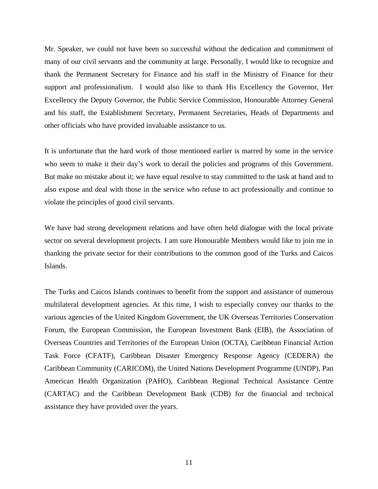Mr. Speaker, we could not have been so successful without the dedication and commitment of many of our civil servants and the community at large. Personally, I would like to recognize and thank the Permanent Secretary for Finance and his staff in the Ministry of Finance for their support and professionalism. I would also like to thank His Excellency the Governor, Her Excellency the Deputy Governor, the Public Service Commission, Honourable Attorney General and his staff, the Establishment Secretary, Permanent Secretaries, Heads of Departments and other officials who have provided invaluable assistance to us.

It is unfortunate that the hard work of those mentioned earlier is marred by some in the service who seem to make it their day's work to derail the policies and programs of this Government. But make no mistake about it; we have equal resolve to stay committed to the task at hand and to also expose and deal with those in the service who refuse to act professionally and continue to violate the principles of good civil servants.

We have had strong development relations and have often held dialogue with the local private sector on several development projects. I am sure Honourable Members would like to join me in thanking the private sector for their contributions to the common good of the Turks and Caicos Islands.

The Turks and Caicos Islands continues to benefit from the support and assistance of numerous multilateral development agencies. At this time, I wish to especially convey our thanks to the various agencies of the United Kingdom Government, the UK Overseas Territories Conservation Forum, the European Commission, the European Investment Bank (EIB), the Association of Overseas Countries and Territories of the European Union (OCTA), Caribbean Financial Action Task Force (CFATF), Caribbean Disaster Emergency Response Agency (CEDERA) the Caribbean Community (CARICOM), the United Nations Development Programme (UNDP), Pan American Health Organization (PAHO), Caribbean Regional Technical Assistance Centre (CARTAC) and the Caribbean Development Bank (CDB) for the financial and technical assistance they have provided over the years.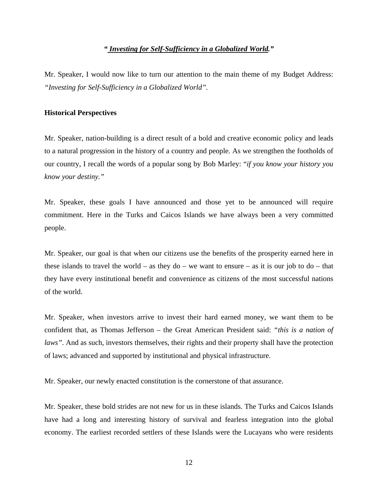## *" Investing for Self-Sufficiency in a Globalized World."*

Mr. Speaker, I would now like to turn our attention to the main theme of my Budget Address: *"Investing for Self-Sufficiency in a Globalized World".* 

## **Historical Perspectives**

Mr. Speaker, nation-building is a direct result of a bold and creative economic policy and leads to a natural progression in the history of a country and people. As we strengthen the footholds of our country, I recall the words of a popular song by Bob Marley: "*if you know your history you know your destiny."* 

Mr. Speaker, these goals I have announced and those yet to be announced will require commitment. Here in the Turks and Caicos Islands we have always been a very committed people.

Mr. Speaker, our goal is that when our citizens use the benefits of the prosperity earned here in these islands to travel the world – as they do – we want to ensure – as it is our job to do – that they have every institutional benefit and convenience as citizens of the most successful nations of the world.

Mr. Speaker, when investors arrive to invest their hard earned money, we want them to be confident that, as Thomas Jefferson – the Great American President said: *"this is a nation of laws*". And as such, investors themselves, their rights and their property shall have the protection of laws; advanced and supported by institutional and physical infrastructure.

Mr. Speaker, our newly enacted constitution is the cornerstone of that assurance.

Mr. Speaker, these bold strides are not new for us in these islands. The Turks and Caicos Islands have had a long and interesting history of survival and fearless integration into the global economy. The earliest recorded settlers of these Islands were the Lucayans who were residents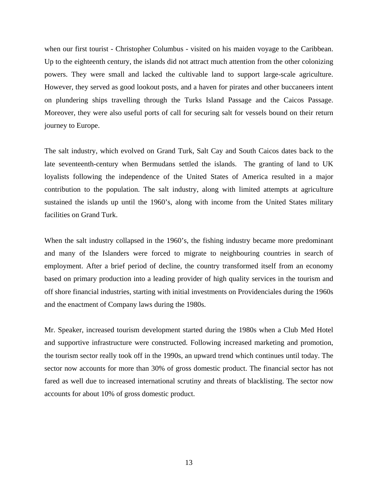when our first tourist - Christopher Columbus - visited on his maiden voyage to the Caribbean. Up to the eighteenth century, the islands did not attract much attention from the other colonizing powers. They were small and lacked the cultivable land to support large-scale agriculture. However, they served as good lookout posts, and a haven for pirates and other buccaneers intent on plundering ships travelling through the Turks Island Passage and the Caicos Passage. Moreover, they were also useful ports of call for securing salt for vessels bound on their return journey to Europe.

The salt industry, which evolved on Grand Turk, Salt Cay and South Caicos dates back to the late seventeenth-century when Bermudans settled the islands. The granting of land to UK loyalists following the independence of the United States of America resulted in a major contribution to the population. The salt industry, along with limited attempts at agriculture sustained the islands up until the 1960's, along with income from the United States military facilities on Grand Turk.

When the salt industry collapsed in the 1960's, the fishing industry became more predominant and many of the Islanders were forced to migrate to neighbouring countries in search of employment. After a brief period of decline, the country transformed itself from an economy based on primary production into a leading provider of high quality services in the tourism and off shore financial industries, starting with initial investments on Providenciales during the 1960s and the enactment of Company laws during the 1980s.

Mr. Speaker, increased tourism development started during the 1980s when a Club Med Hotel and supportive infrastructure were constructed. Following increased marketing and promotion, the tourism sector really took off in the 1990s, an upward trend which continues until today. The sector now accounts for more than 30% of gross domestic product. The financial sector has not fared as well due to increased international scrutiny and threats of blacklisting. The sector now accounts for about 10% of gross domestic product.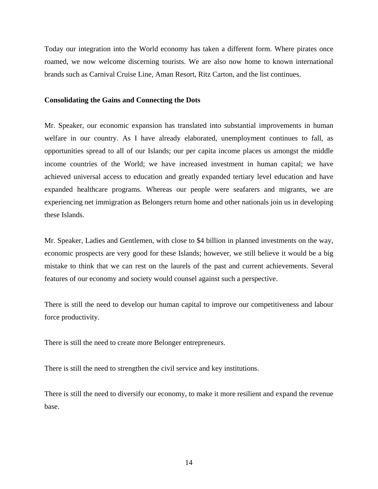Today our integration into the World economy has taken a different form. Where pirates once roamed, we now welcome discerning tourists. We are also now home to known international brands such as Carnival Cruise Line, Aman Resort, Ritz Carton, and the list continues.

#### **Consolidating the Gains and Connecting the Dots**

Mr. Speaker, our economic expansion has translated into substantial improvements in human welfare in our country. As I have already elaborated, unemployment continues to fall, as opportunities spread to all of our Islands; our per capita income places us amongst the middle income countries of the World; we have increased investment in human capital; we have achieved universal access to education and greatly expanded tertiary level education and have expanded healthcare programs. Whereas our people were seafarers and migrants, we are experiencing net immigration as Belongers return home and other nationals join us in developing these Islands.

Mr. Speaker, Ladies and Gentlemen, with close to \$4 billion in planned investments on the way, economic prospects are very good for these Islands; however, we still believe it would be a big mistake to think that we can rest on the laurels of the past and current achievements. Several features of our economy and society would counsel against such a perspective.

There is still the need to develop our human capital to improve our competitiveness and labour force productivity.

There is still the need to create more Belonger entrepreneurs.

There is still the need to strengthen the civil service and key institutions.

There is still the need to diversify our economy, to make it more resilient and expand the revenue base.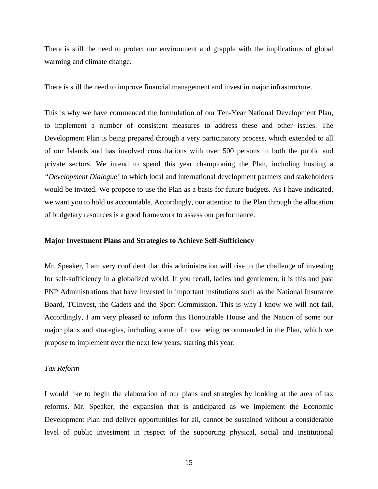There is still the need to protect our environment and grapple with the implications of global warming and climate change.

There is still the need to improve financial management and invest in major infrastructure.

This is why we have commenced the formulation of our Ten-Year National Development Plan, to implement a number of consistent measures to address these and other issues. The Development Plan is being prepared through a very participatory process, which extended to all of our Islands and has involved consultations with over 500 persons in both the public and private sectors. We intend to spend this year championing the Plan, including hosting a *"Development Dialogue'* to which local and international development partners and stakeholders would be invited. We propose to use the Plan as a basis for future budgets. As I have indicated, we want you to hold us accountable. Accordingly, our attention to the Plan through the allocation of budgetary resources is a good framework to assess our performance.

## **Major Investment Plans and Strategies to Achieve Self-Sufficiency**

Mr. Speaker, I am very confident that this administration will rise to the challenge of investing for self-sufficiency in a globalized world. If you recall, ladies and gentlemen, it is this and past PNP Administrations that have invested in important institutions such as the National Insurance Board, TCInvest, the Cadets and the Sport Commission. This is why I know we will not fail. Accordingly, I am very pleased to inform this Honourable House and the Nation of some our major plans and strategies, including some of those being recommended in the Plan, which we propose to implement over the next few years, starting this year.

## *Tax Reform*

I would like to begin the elaboration of our plans and strategies by looking at the area of tax reforms. Mr. Speaker, the expansion that is anticipated as we implement the Economic Development Plan and deliver opportunities for all, cannot be sustained without a considerable level of public investment in respect of the supporting physical, social and institutional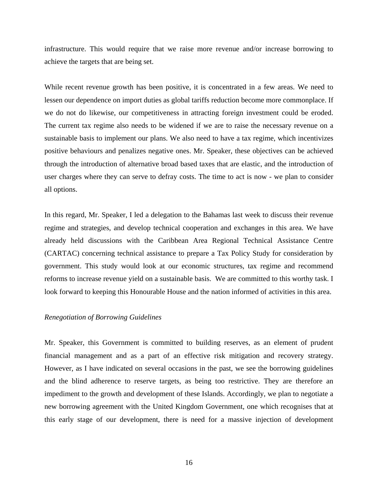infrastructure. This would require that we raise more revenue and/or increase borrowing to achieve the targets that are being set.

While recent revenue growth has been positive, it is concentrated in a few areas. We need to lessen our dependence on import duties as global tariffs reduction become more commonplace. If we do not do likewise, our competitiveness in attracting foreign investment could be eroded. The current tax regime also needs to be widened if we are to raise the necessary revenue on a sustainable basis to implement our plans. We also need to have a tax regime, which incentivizes positive behaviours and penalizes negative ones. Mr. Speaker, these objectives can be achieved through the introduction of alternative broad based taxes that are elastic, and the introduction of user charges where they can serve to defray costs. The time to act is now - we plan to consider all options.

In this regard, Mr. Speaker, I led a delegation to the Bahamas last week to discuss their revenue regime and strategies, and develop technical cooperation and exchanges in this area. We have already held discussions with the Caribbean Area Regional Technical Assistance Centre (CARTAC) concerning technical assistance to prepare a Tax Policy Study for consideration by government. This study would look at our economic structures, tax regime and recommend reforms to increase revenue yield on a sustainable basis. We are committed to this worthy task. I look forward to keeping this Honourable House and the nation informed of activities in this area.

## *Renegotiation of Borrowing Guidelines*

Mr. Speaker, this Government is committed to building reserves, as an element of prudent financial management and as a part of an effective risk mitigation and recovery strategy. However, as I have indicated on several occasions in the past, we see the borrowing guidelines and the blind adherence to reserve targets, as being too restrictive. They are therefore an impediment to the growth and development of these Islands. Accordingly, we plan to negotiate a new borrowing agreement with the United Kingdom Government, one which recognises that at this early stage of our development, there is need for a massive injection of development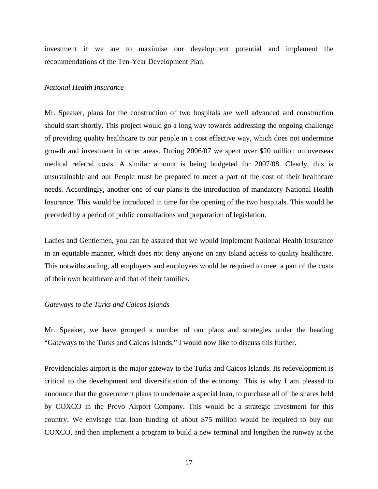investment if we are to maximise our development potential and implement the recommendations of the Ten-Year Development Plan.

## *National Health Insurance*

Mr. Speaker, plans for the construction of two hospitals are well advanced and construction should start shortly. This project would go a long way towards addressing the ongoing challenge of providing quality healthcare to our people in a cost effective way, which does not undermine growth and investment in other areas. During 2006/07 we spent over \$20 million on overseas medical referral costs. A similar amount is being budgeted for 2007/08. Clearly, this is unsustainable and our People must be prepared to meet a part of the cost of their healthcare needs. Accordingly, another one of our plans is the introduction of mandatory National Health Insurance. This would be introduced in time for the opening of the two hospitals. This would be preceded by a period of public consultations and preparation of legislation.

Ladies and Gentlemen, you can be assured that we would implement National Health Insurance in an equitable manner, which does not deny anyone on any Island access to quality healthcare. This notwithstanding, all employers and employees would be required to meet a part of the costs of their own healthcare and that of their families.

#### *Gateways to the Turks and Caicos Islands*

Mr. Speaker, we have grouped a number of our plans and strategies under the heading "Gateways to the Turks and Caicos Islands." I would now like to discuss this further.

Providenciales airport is the major gateway to the Turks and Caicos Islands. Its redevelopment is critical to the development and diversification of the economy. This is why I am pleased to announce that the government plans to undertake a special loan, to purchase all of the shares held by COXCO in the Provo Airport Company. This would be a strategic investment for this country. We envisage that loan funding of about \$75 million would be required to buy out COXCO, and then implement a program to build a new terminal and lengthen the runway at the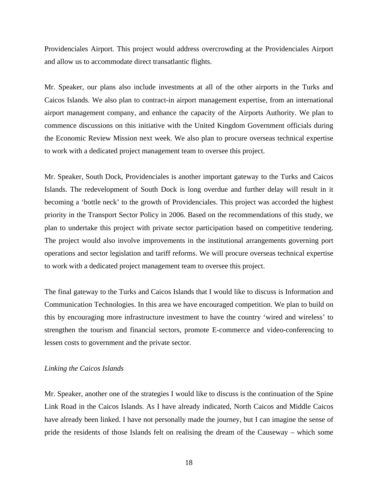Providenciales Airport. This project would address overcrowding at the Providenciales Airport and allow us to accommodate direct transatlantic flights.

Mr. Speaker, our plans also include investments at all of the other airports in the Turks and Caicos Islands. We also plan to contract-in airport management expertise, from an international airport management company, and enhance the capacity of the Airports Authority. We plan to commence discussions on this initiative with the United Kingdom Government officials during the Economic Review Mission next week. We also plan to procure overseas technical expertise to work with a dedicated project management team to oversee this project.

Mr. Speaker, South Dock, Providenciales is another important gateway to the Turks and Caicos Islands. The redevelopment of South Dock is long overdue and further delay will result in it becoming a 'bottle neck' to the growth of Providenciales. This project was accorded the highest priority in the Transport Sector Policy in 2006. Based on the recommendations of this study, we plan to undertake this project with private sector participation based on competitive tendering. The project would also involve improvements in the institutional arrangements governing port operations and sector legislation and tariff reforms. We will procure overseas technical expertise to work with a dedicated project management team to oversee this project.

The final gateway to the Turks and Caicos Islands that I would like to discuss is Information and Communication Technologies. In this area we have encouraged competition. We plan to build on this by encouraging more infrastructure investment to have the country 'wired and wireless' to strengthen the tourism and financial sectors, promote E-commerce and video-conferencing to lessen costs to government and the private sector.

#### *Linking the Caicos Islands*

Mr. Speaker, another one of the strategies I would like to discuss is the continuation of the Spine Link Road in the Caicos Islands. As I have already indicated, North Caicos and Middle Caicos have already been linked. I have not personally made the journey, but I can imagine the sense of pride the residents of those Islands felt on realising the dream of the Causeway – which some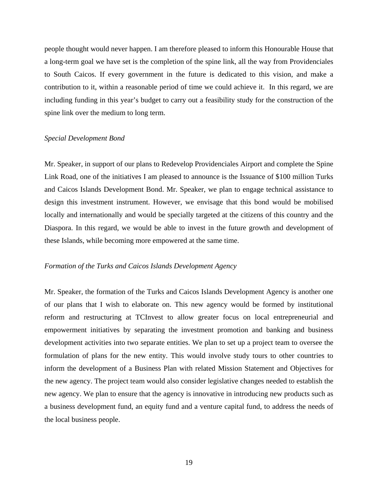people thought would never happen. I am therefore pleased to inform this Honourable House that a long-term goal we have set is the completion of the spine link, all the way from Providenciales to South Caicos. If every government in the future is dedicated to this vision, and make a contribution to it, within a reasonable period of time we could achieve it. In this regard, we are including funding in this year's budget to carry out a feasibility study for the construction of the spine link over the medium to long term.

#### *Special Development Bond*

Mr. Speaker, in support of our plans to Redevelop Providenciales Airport and complete the Spine Link Road, one of the initiatives I am pleased to announce is the Issuance of \$100 million Turks and Caicos Islands Development Bond. Mr. Speaker, we plan to engage technical assistance to design this investment instrument. However, we envisage that this bond would be mobilised locally and internationally and would be specially targeted at the citizens of this country and the Diaspora. In this regard, we would be able to invest in the future growth and development of these Islands, while becoming more empowered at the same time.

## *Formation of the Turks and Caicos Islands Development Agency*

Mr. Speaker, the formation of the Turks and Caicos Islands Development Agency is another one of our plans that I wish to elaborate on. This new agency would be formed by institutional reform and restructuring at TCInvest to allow greater focus on local entrepreneurial and empowerment initiatives by separating the investment promotion and banking and business development activities into two separate entities. We plan to set up a project team to oversee the formulation of plans for the new entity. This would involve study tours to other countries to inform the development of a Business Plan with related Mission Statement and Objectives for the new agency. The project team would also consider legislative changes needed to establish the new agency. We plan to ensure that the agency is innovative in introducing new products such as a business development fund, an equity fund and a venture capital fund, to address the needs of the local business people.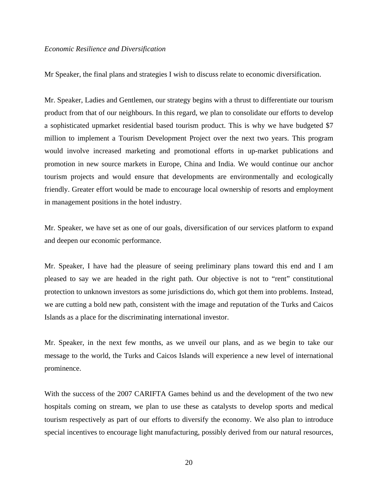#### *Economic Resilience and Diversification*

Mr Speaker, the final plans and strategies I wish to discuss relate to economic diversification.

Mr. Speaker, Ladies and Gentlemen, our strategy begins with a thrust to differentiate our tourism product from that of our neighbours. In this regard, we plan to consolidate our efforts to develop a sophisticated upmarket residential based tourism product. This is why we have budgeted \$7 million to implement a Tourism Development Project over the next two years. This program would involve increased marketing and promotional efforts in up-market publications and promotion in new source markets in Europe, China and India. We would continue our anchor tourism projects and would ensure that developments are environmentally and ecologically friendly. Greater effort would be made to encourage local ownership of resorts and employment in management positions in the hotel industry.

Mr. Speaker, we have set as one of our goals, diversification of our services platform to expand and deepen our economic performance.

Mr. Speaker, I have had the pleasure of seeing preliminary plans toward this end and I am pleased to say we are headed in the right path. Our objective is not to "rent" constitutional protection to unknown investors as some jurisdictions do, which got them into problems. Instead, we are cutting a bold new path, consistent with the image and reputation of the Turks and Caicos Islands as a place for the discriminating international investor.

Mr. Speaker, in the next few months, as we unveil our plans, and as we begin to take our message to the world, the Turks and Caicos Islands will experience a new level of international prominence.

With the success of the 2007 CARIFTA Games behind us and the development of the two new hospitals coming on stream, we plan to use these as catalysts to develop sports and medical tourism respectively as part of our efforts to diversify the economy. We also plan to introduce special incentives to encourage light manufacturing, possibly derived from our natural resources,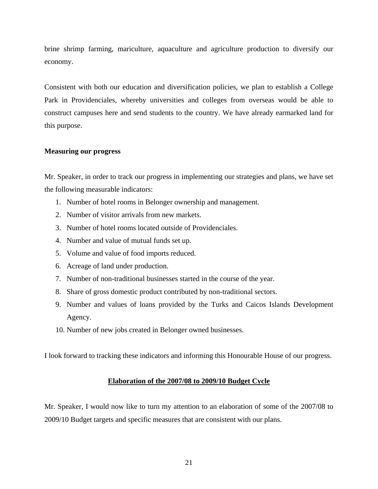brine shrimp farming, mariculture, aquaculture and agriculture production to diversify our economy.

Consistent with both our education and diversification policies, we plan to establish a College Park in Providenciales, whereby universities and colleges from overseas would be able to construct campuses here and send students to the country. We have already earmarked land for this purpose.

## **Measuring our progress**

Mr. Speaker, in order to track our progress in implementing our strategies and plans, we have set the following measurable indicators:

- 1. Number of hotel rooms in Belonger ownership and management.
- 2. Number of visitor arrivals from new markets.
- 3. Number of hotel rooms located outside of Providenciales.
- 4. Number and value of mutual funds set up.
- 5. Volume and value of food imports reduced.
- 6. Acreage of land under production.
- 7. Number of non-traditional businesses started in the course of the year.
- 8. Share of gross domestic product contributed by non-traditional sectors.
- 9. Number and values of loans provided by the Turks and Caicos Islands Development Agency.
- 10. Number of new jobs created in Belonger owned businesses.

I look forward to tracking these indicators and informing this Honourable House of our progress.

## **Elaboration of the 2007/08 to 2009/10 Budget Cycle**

Mr. Speaker, I would now like to turn my attention to an elaboration of some of the 2007/08 to 2009/10 Budget targets and specific measures that are consistent with our plans.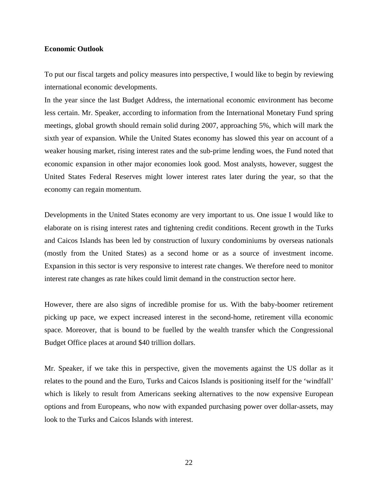#### **Economic Outlook**

To put our fiscal targets and policy measures into perspective, I would like to begin by reviewing international economic developments.

In the year since the last Budget Address, the international economic environment has become less certain. Mr. Speaker, according to information from the International Monetary Fund spring meetings, global growth should remain solid during 2007, approaching 5%, which will mark the sixth year of expansion. While the United States economy has slowed this year on account of a weaker housing market, rising interest rates and the sub-prime lending woes, the Fund noted that economic expansion in other major economies look good. Most analysts, however, suggest the United States Federal Reserves might lower interest rates later during the year, so that the economy can regain momentum.

Developments in the United States economy are very important to us. One issue I would like to elaborate on is rising interest rates and tightening credit conditions. Recent growth in the Turks and Caicos Islands has been led by construction of luxury condominiums by overseas nationals (mostly from the United States) as a second home or as a source of investment income. Expansion in this sector is very responsive to interest rate changes. We therefore need to monitor interest rate changes as rate hikes could limit demand in the construction sector here.

However, there are also signs of incredible promise for us. With the baby-boomer retirement picking up pace, we expect increased interest in the second-home, retirement villa economic space. Moreover, that is bound to be fuelled by the wealth transfer which the Congressional Budget Office places at around \$40 trillion dollars.

Mr. Speaker, if we take this in perspective, given the movements against the US dollar as it relates to the pound and the Euro, Turks and Caicos Islands is positioning itself for the 'windfall' which is likely to result from Americans seeking alternatives to the now expensive European options and from Europeans, who now with expanded purchasing power over dollar-assets, may look to the Turks and Caicos Islands with interest.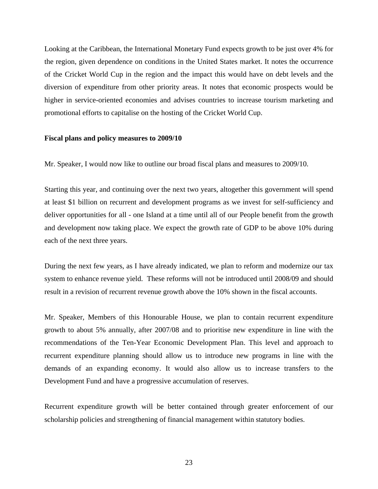Looking at the Caribbean, the International Monetary Fund expects growth to be just over 4% for the region, given dependence on conditions in the United States market. It notes the occurrence of the Cricket World Cup in the region and the impact this would have on debt levels and the diversion of expenditure from other priority areas. It notes that economic prospects would be higher in service-oriented economies and advises countries to increase tourism marketing and promotional efforts to capitalise on the hosting of the Cricket World Cup.

#### **Fiscal plans and policy measures to 2009/10**

Mr. Speaker, I would now like to outline our broad fiscal plans and measures to 2009/10.

Starting this year, and continuing over the next two years, altogether this government will spend at least \$1 billion on recurrent and development programs as we invest for self-sufficiency and deliver opportunities for all - one Island at a time until all of our People benefit from the growth and development now taking place. We expect the growth rate of GDP to be above 10% during each of the next three years.

During the next few years, as I have already indicated, we plan to reform and modernize our tax system to enhance revenue yield. These reforms will not be introduced until 2008/09 and should result in a revision of recurrent revenue growth above the 10% shown in the fiscal accounts.

Mr. Speaker, Members of this Honourable House, we plan to contain recurrent expenditure growth to about 5% annually, after 2007/08 and to prioritise new expenditure in line with the recommendations of the Ten-Year Economic Development Plan. This level and approach to recurrent expenditure planning should allow us to introduce new programs in line with the demands of an expanding economy. It would also allow us to increase transfers to the Development Fund and have a progressive accumulation of reserves.

Recurrent expenditure growth will be better contained through greater enforcement of our scholarship policies and strengthening of financial management within statutory bodies.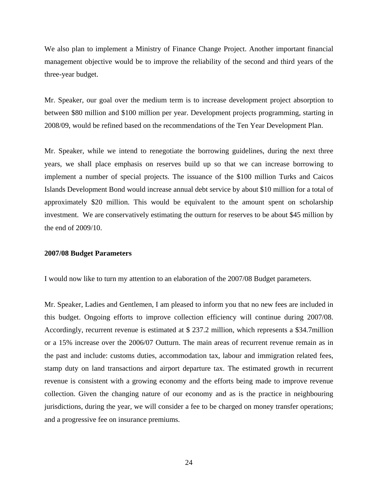We also plan to implement a Ministry of Finance Change Project. Another important financial management objective would be to improve the reliability of the second and third years of the three-year budget.

Mr. Speaker, our goal over the medium term is to increase development project absorption to between \$80 million and \$100 million per year. Development projects programming, starting in 2008/09, would be refined based on the recommendations of the Ten Year Development Plan.

Mr. Speaker, while we intend to renegotiate the borrowing guidelines, during the next three years, we shall place emphasis on reserves build up so that we can increase borrowing to implement a number of special projects. The issuance of the \$100 million Turks and Caicos Islands Development Bond would increase annual debt service by about \$10 million for a total of approximately \$20 million. This would be equivalent to the amount spent on scholarship investment. We are conservatively estimating the outturn for reserves to be about \$45 million by the end of 2009/10.

## **2007/08 Budget Parameters**

I would now like to turn my attention to an elaboration of the 2007/08 Budget parameters.

Mr. Speaker, Ladies and Gentlemen, I am pleased to inform you that no new fees are included in this budget. Ongoing efforts to improve collection efficiency will continue during 2007/08. Accordingly, recurrent revenue is estimated at \$ 237.2 million, which represents a \$34.7million or a 15% increase over the 2006/07 Outturn. The main areas of recurrent revenue remain as in the past and include: customs duties, accommodation tax, labour and immigration related fees, stamp duty on land transactions and airport departure tax. The estimated growth in recurrent revenue is consistent with a growing economy and the efforts being made to improve revenue collection. Given the changing nature of our economy and as is the practice in neighbouring jurisdictions, during the year, we will consider a fee to be charged on money transfer operations; and a progressive fee on insurance premiums.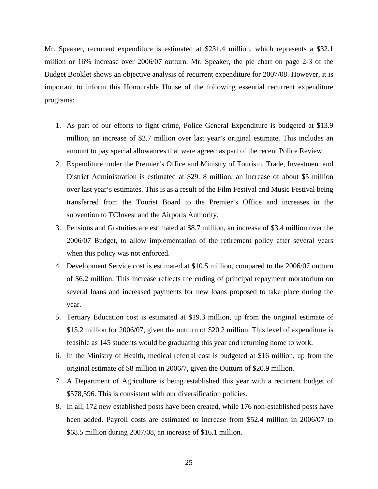Mr. Speaker, recurrent expenditure is estimated at \$231.4 million, which represents a \$32.1 million or 16% increase over 2006/07 outturn. Mr. Speaker, the pie chart on page 2-3 of the Budget Booklet shows an objective analysis of recurrent expenditure for 2007/08. However, it is important to inform this Honourable House of the following essential recurrent expenditure programs:

- 1. As part of our efforts to fight crime, Police General Expenditure is budgeted at \$13.9 million, an increase of \$2.7 million over last year's original estimate. This includes an amount to pay special allowances that were agreed as part of the recent Police Review.
- 2. Expenditure under the Premier's Office and Ministry of Tourism, Trade, Investment and District Administration is estimated at \$29. 8 million, an increase of about \$5 million over last year's estimates. This is as a result of the Film Festival and Music Festival being transferred from the Tourist Board to the Premier's Office and increases in the subvention to TCInvest and the Airports Authority.
- 3. Pensions and Gratuities are estimated at \$8.7 million, an increase of \$3.4 million over the 2006/07 Budget, to allow implementation of the retirement policy after several years when this policy was not enforced.
- 4. Development Service cost is estimated at \$10.5 million, compared to the 2006/07 outturn of \$6.2 million. This increase reflects the ending of principal repayment moratorium on several loans and increased payments for new loans proposed to take place during the year.
- 5. Tertiary Education cost is estimated at \$19.3 million, up from the original estimate of \$15.2 million for 2006/07, given the outturn of \$20.2 million. This level of expenditure is feasible as 145 students would be graduating this year and returning home to work.
- 6. In the Ministry of Health, medical referral cost is budgeted at \$16 million, up from the original estimate of \$8 million in 2006/7, given the Outturn of \$20.9 million.
- 7. A Department of Agriculture is being established this year with a recurrent budget of \$578,596. This is consistent with our diversification policies.
- 8. In all, 172 new established posts have been created, while 176 non-established posts have been added. Payroll costs are estimated to increase from \$52.4 million in 2006/07 to \$68.5 million during 2007/08, an increase of \$16.1 million.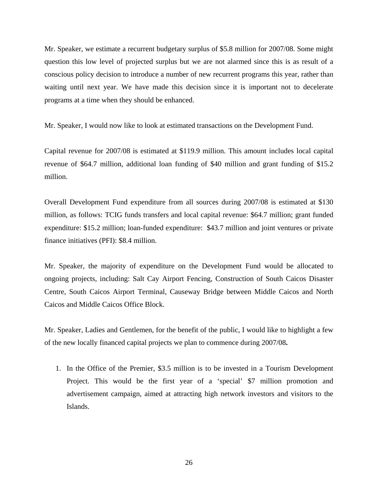Mr. Speaker, we estimate a recurrent budgetary surplus of \$5.8 million for 2007/08. Some might question this low level of projected surplus but we are not alarmed since this is as result of a conscious policy decision to introduce a number of new recurrent programs this year, rather than waiting until next year. We have made this decision since it is important not to decelerate programs at a time when they should be enhanced.

Mr. Speaker, I would now like to look at estimated transactions on the Development Fund.

Capital revenue for 2007/08 is estimated at \$119.9 million. This amount includes local capital revenue of \$64.7 million, additional loan funding of \$40 million and grant funding of \$15.2 million.

Overall Development Fund expenditure from all sources during 2007/08 is estimated at \$130 million, as follows: TCIG funds transfers and local capital revenue: \$64.7 million; grant funded expenditure: \$15.2 million; loan-funded expenditure: \$43.7 million and joint ventures or private finance initiatives (PFI): \$8.4 million.

Mr. Speaker, the majority of expenditure on the Development Fund would be allocated to ongoing projects, including: Salt Cay Airport Fencing, Construction of South Caicos Disaster Centre, South Caicos Airport Terminal, Causeway Bridge between Middle Caicos and North Caicos and Middle Caicos Office Block.

Mr. Speaker, Ladies and Gentlemen, for the benefit of the public, I would like to highlight a few of the new locally financed capital projects we plan to commence during 2007/08**.** 

1. In the Office of the Premier, \$3.5 million is to be invested in a Tourism Development Project. This would be the first year of a 'special' \$7 million promotion and advertisement campaign, aimed at attracting high network investors and visitors to the Islands.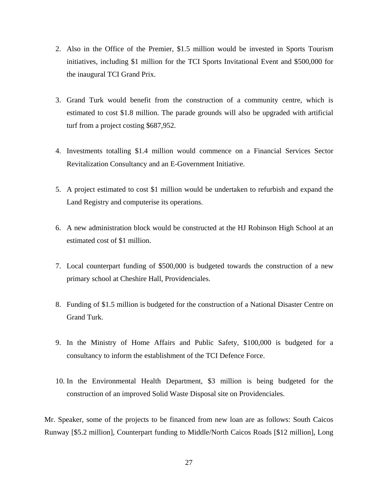- 2. Also in the Office of the Premier, \$1.5 million would be invested in Sports Tourism initiatives, including \$1 million for the TCI Sports Invitational Event and \$500,000 for the inaugural TCI Grand Prix.
- 3. Grand Turk would benefit from the construction of a community centre, which is estimated to cost \$1.8 million. The parade grounds will also be upgraded with artificial turf from a project costing \$687,952.
- 4. Investments totalling \$1.4 million would commence on a Financial Services Sector Revitalization Consultancy and an E-Government Initiative.
- 5. A project estimated to cost \$1 million would be undertaken to refurbish and expand the Land Registry and computerise its operations.
- 6. A new administration block would be constructed at the HJ Robinson High School at an estimated cost of \$1 million.
- 7. Local counterpart funding of \$500,000 is budgeted towards the construction of a new primary school at Cheshire Hall, Providenciales.
- 8. Funding of \$1.5 million is budgeted for the construction of a National Disaster Centre on Grand Turk.
- 9. In the Ministry of Home Affairs and Public Safety, \$100,000 is budgeted for a consultancy to inform the establishment of the TCI Defence Force.
- 10. In the Environmental Health Department, \$3 million is being budgeted for the construction of an improved Solid Waste Disposal site on Providenciales.

Mr. Speaker, some of the projects to be financed from new loan are as follows: South Caicos Runway [\$5.2 million], Counterpart funding to Middle/North Caicos Roads [\$12 million], Long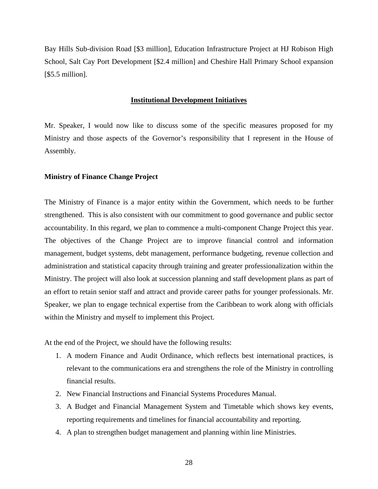Bay Hills Sub-division Road [\$3 million], Education Infrastructure Project at HJ Robison High School, Salt Cay Port Development [\$2.4 million] and Cheshire Hall Primary School expansion [\$5.5 million].

#### **Institutional Development Initiatives**

Mr. Speaker, I would now like to discuss some of the specific measures proposed for my Ministry and those aspects of the Governor's responsibility that I represent in the House of Assembly.

## **Ministry of Finance Change Project**

The Ministry of Finance is a major entity within the Government, which needs to be further strengthened. This is also consistent with our commitment to good governance and public sector accountability. In this regard, we plan to commence a multi-component Change Project this year. The objectives of the Change Project are to improve financial control and information management, budget systems, debt management, performance budgeting, revenue collection and administration and statistical capacity through training and greater professionalization within the Ministry. The project will also look at succession planning and staff development plans as part of an effort to retain senior staff and attract and provide career paths for younger professionals. Mr. Speaker, we plan to engage technical expertise from the Caribbean to work along with officials within the Ministry and myself to implement this Project.

At the end of the Project, we should have the following results:

- 1. A modern Finance and Audit Ordinance, which reflects best international practices, is relevant to the communications era and strengthens the role of the Ministry in controlling financial results.
- 2. New Financial Instructions and Financial Systems Procedures Manual.
- 3. A Budget and Financial Management System and Timetable which shows key events, reporting requirements and timelines for financial accountability and reporting.
- 4. A plan to strengthen budget management and planning within line Ministries.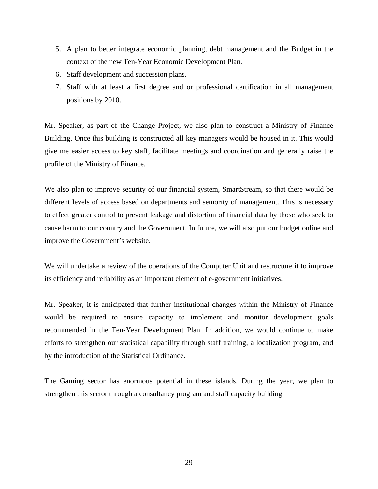- 5. A plan to better integrate economic planning, debt management and the Budget in the context of the new Ten-Year Economic Development Plan.
- 6. Staff development and succession plans.
- 7. Staff with at least a first degree and or professional certification in all management positions by 2010.

Mr. Speaker, as part of the Change Project, we also plan to construct a Ministry of Finance Building. Once this building is constructed all key managers would be housed in it. This would give me easier access to key staff, facilitate meetings and coordination and generally raise the profile of the Ministry of Finance.

We also plan to improve security of our financial system, SmartStream, so that there would be different levels of access based on departments and seniority of management. This is necessary to effect greater control to prevent leakage and distortion of financial data by those who seek to cause harm to our country and the Government. In future, we will also put our budget online and improve the Government's website.

We will undertake a review of the operations of the Computer Unit and restructure it to improve its efficiency and reliability as an important element of e-government initiatives.

Mr. Speaker, it is anticipated that further institutional changes within the Ministry of Finance would be required to ensure capacity to implement and monitor development goals recommended in the Ten-Year Development Plan. In addition, we would continue to make efforts to strengthen our statistical capability through staff training, a localization program, and by the introduction of the Statistical Ordinance.

The Gaming sector has enormous potential in these islands. During the year, we plan to strengthen this sector through a consultancy program and staff capacity building.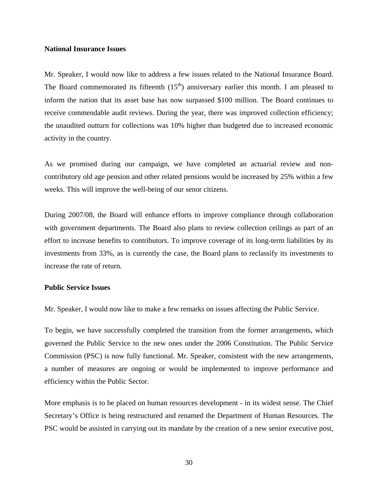## **National Insurance Issues**

Mr. Speaker, I would now like to address a few issues related to the National Insurance Board. The Board commemorated its fifteenth  $(15<sup>th</sup>)$  anniversary earlier this month. I am pleased to inform the nation that its asset base has now surpassed \$100 million. The Board continues to receive commendable audit reviews. During the year, there was improved collection efficiency; the unaudited outturn for collections was 10% higher than budgeted due to increased economic activity in the country.

As we promised during our campaign, we have completed an actuarial review and noncontributory old age pension and other related pensions would be increased by 25% within a few weeks. This will improve the well-being of our senor citizens.

During 2007/08, the Board will enhance efforts to improve compliance through collaboration with government departments. The Board also plans to review collection ceilings as part of an effort to increase benefits to contributors. To improve coverage of its long-term liabilities by its investments from 33%, as is currently the case, the Board plans to reclassify its investments to increase the rate of return.

#### **Public Service Issues**

Mr. Speaker, I would now like to make a few remarks on issues affecting the Public Service.

To begin, we have successfully completed the transition from the former arrangements, which governed the Public Service to the new ones under the 2006 Constitution. The Public Service Commission (PSC) is now fully functional. Mr. Speaker, consistent with the new arrangements, a number of measures are ongoing or would be implemented to improve performance and efficiency within the Public Sector.

More emphasis is to be placed on human resources development - in its widest sense. The Chief Secretary's Office is being restructured and renamed the Department of Human Resources. The PSC would be assisted in carrying out its mandate by the creation of a new senior executive post,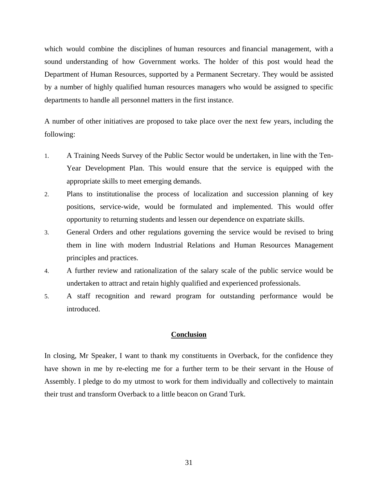which would combine the disciplines of human resources and financial management, with a sound understanding of how Government works. The holder of this post would head the Department of Human Resources, supported by a Permanent Secretary. They would be assisted by a number of highly qualified human resources managers who would be assigned to specific departments to handle all personnel matters in the first instance.

A number of other initiatives are proposed to take place over the next few years, including the following:

- 1. A Training Needs Survey of the Public Sector would be undertaken, in line with the Ten-Year Development Plan. This would ensure that the service is equipped with the appropriate skills to meet emerging demands.
- 2. Plans to institutionalise the process of localization and succession planning of key positions, service-wide, would be formulated and implemented. This would offer opportunity to returning students and lessen our dependence on expatriate skills.
- 3. General Orders and other regulations governing the service would be revised to bring them in line with modern Industrial Relations and Human Resources Management principles and practices.
- 4. A further review and rationalization of the salary scale of the public service would be undertaken to attract and retain highly qualified and experienced professionals.
- 5. A staff recognition and reward program for outstanding performance would be introduced.

## **Conclusion**

In closing, Mr Speaker, I want to thank my constituents in Overback, for the confidence they have shown in me by re-electing me for a further term to be their servant in the House of Assembly. I pledge to do my utmost to work for them individually and collectively to maintain their trust and transform Overback to a little beacon on Grand Turk.